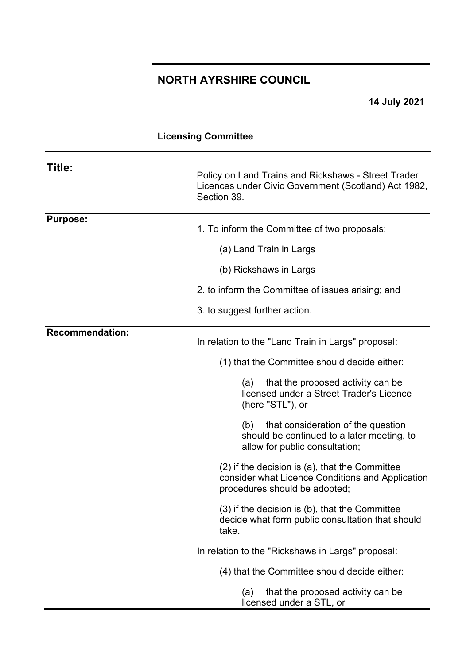# **NORTH AYRSHIRE COUNCIL**

**14 July 2021**

## **Licensing Committee**

| Title:                 | Policy on Land Trains and Rickshaws - Street Trader<br>Licences under Civic Government (Scotland) Act 1982,<br>Section 39.          |
|------------------------|-------------------------------------------------------------------------------------------------------------------------------------|
| <b>Purpose:</b>        | 1. To inform the Committee of two proposals:                                                                                        |
|                        | (a) Land Train in Largs                                                                                                             |
|                        | (b) Rickshaws in Largs                                                                                                              |
|                        | 2. to inform the Committee of issues arising; and                                                                                   |
|                        | 3. to suggest further action.                                                                                                       |
| <b>Recommendation:</b> | In relation to the "Land Train in Largs" proposal:                                                                                  |
|                        | (1) that the Committee should decide either:                                                                                        |
|                        | that the proposed activity can be<br>(a)<br>licensed under a Street Trader's Licence<br>(here "STL"), or                            |
|                        | that consideration of the question<br>(b)<br>should be continued to a later meeting, to<br>allow for public consultation;           |
|                        | (2) if the decision is (a), that the Committee<br>consider what Licence Conditions and Application<br>procedures should be adopted; |
|                        | $(3)$ if the decision is $(b)$ , that the Committee<br>decide what form public consultation that should<br>take.                    |
|                        | In relation to the "Rickshaws in Largs" proposal:                                                                                   |
|                        | (4) that the Committee should decide either:                                                                                        |
|                        | that the proposed activity can be<br>(a)<br>licensed under a STL, or                                                                |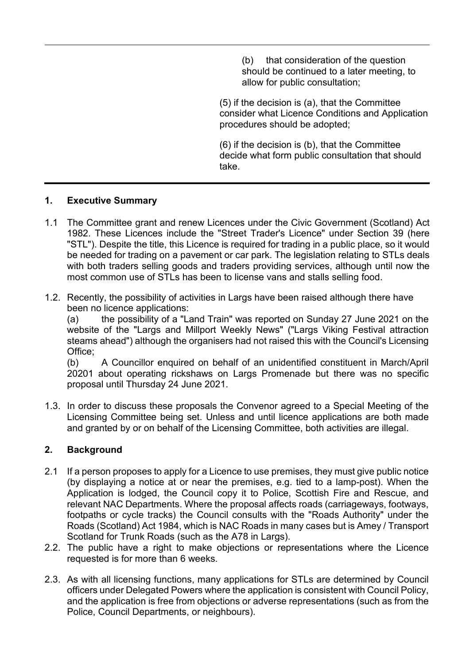(b) that consideration of the question should be continued to a later meeting, to allow for public consultation;

(5) if the decision is (a), that the Committee consider what Licence Conditions and Application procedures should be adopted;

(6) if the decision is (b), that the Committee decide what form public consultation that should take.

## **1. Executive Summary**

- 1.1 The Committee grant and renew Licences under the Civic Government (Scotland) Act 1982. These Licences include the "Street Trader's Licence" under Section 39 (here "STL"). Despite the title, this Licence is required for trading in a public place, so it would be needed for trading on a pavement or car park. The legislation relating to STLs deals with both traders selling goods and traders providing services, although until now the most common use of STLs has been to license vans and stalls selling food.
- 1.2. Recently, the possibility of activities in Largs have been raised although there have been no licence applications:

(a) the possibility of a "Land Train" was reported on Sunday 27 June 2021 on the website of the "Largs and Millport Weekly News" ("Largs Viking Festival attraction steams ahead") although the organisers had not raised this with the Council's Licensing Office:

(b) A Councillor enquired on behalf of an unidentified constituent in March/April 20201 about operating rickshaws on Largs Promenade but there was no specific proposal until Thursday 24 June 2021.

1.3. In order to discuss these proposals the Convenor agreed to a Special Meeting of the Licensing Committee being set. Unless and until licence applications are both made and granted by or on behalf of the Licensing Committee, both activities are illegal.

## **2. Background**

- 2.1 If a person proposes to apply for a Licence to use premises, they must give public notice (by displaying a notice at or near the premises, e.g. tied to a lamp-post). When the Application is lodged, the Council copy it to Police, Scottish Fire and Rescue, and relevant NAC Departments. Where the proposal affects roads (carriageways, footways, footpaths or cycle tracks) the Council consults with the "Roads Authority" under the Roads (Scotland) Act 1984, which is NAC Roads in many cases but is Amey / Transport Scotland for Trunk Roads (such as the A78 in Largs).
- 2.2. The public have a right to make objections or representations where the Licence requested is for more than 6 weeks.
- 2.3. As with all licensing functions, many applications for STLs are determined by Council officers under Delegated Powers where the application is consistent with Council Policy, and the application is free from objections or adverse representations (such as from the Police, Council Departments, or neighbours).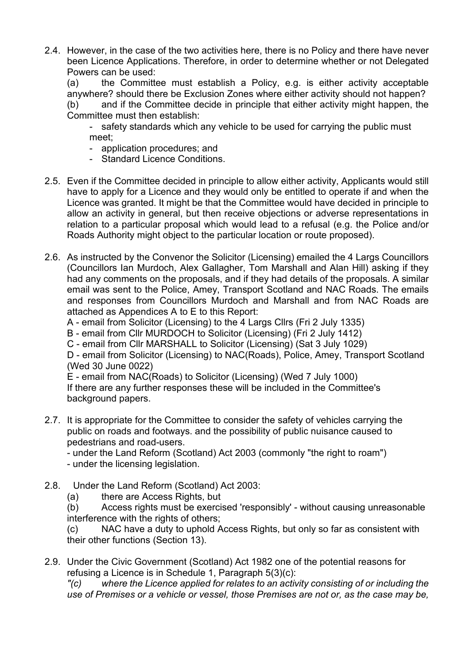2.4. However, in the case of the two activities here, there is no Policy and there have never been Licence Applications. Therefore, in order to determine whether or not Delegated Powers can be used:

(a) the Committee must establish a Policy, e.g. is either activity acceptable anywhere? should there be Exclusion Zones where either activity should not happen?

(b) and if the Committee decide in principle that either activity might happen, the Committee must then establish:

- safety standards which any vehicle to be used for carrying the public must meet;

- application procedures; and
- Standard Licence Conditions.
- 2.5. Even if the Committee decided in principle to allow either activity, Applicants would still have to apply for a Licence and they would only be entitled to operate if and when the Licence was granted. It might be that the Committee would have decided in principle to allow an activity in general, but then receive objections or adverse representations in relation to a particular proposal which would lead to a refusal (e.g. the Police and/or Roads Authority might object to the particular location or route proposed).
- 2.6. As instructed by the Convenor the Solicitor (Licensing) emailed the 4 Largs Councillors (Councillors Ian Murdoch, Alex Gallagher, Tom Marshall and Alan Hill) asking if they had any comments on the proposals, and if they had details of the proposals. A similar email was sent to the Police, Amey, Transport Scotland and NAC Roads. The emails and responses from Councillors Murdoch and Marshall and from NAC Roads are attached as Appendices A to E to this Report:

A - email from Solicitor (Licensing) to the 4 Largs Cllrs (Fri 2 July 1335)

B - email from Cllr MURDOCH to Solicitor (Licensing) (Fri 2 July 1412)

C - email from Cllr MARSHALL to Solicitor (Licensing) (Sat 3 July 1029)

D - email from Solicitor (Licensing) to NAC(Roads), Police, Amey, Transport Scotland (Wed 30 June 0022)

E - email from NAC(Roads) to Solicitor (Licensing) (Wed 7 July 1000) If there are any further responses these will be included in the Committee's background papers.

2.7. It is appropriate for the Committee to consider the safety of vehicles carrying the public on roads and footways. and the possibility of public nuisance caused to pedestrians and road-users.

- under the Land Reform (Scotland) Act 2003 (commonly "the right to roam")

- under the licensing legislation.
- 2.8. Under the Land Reform (Scotland) Act 2003:

(a) there are Access Rights, but

(b) Access rights must be exercised 'responsibly' - without causing unreasonable interference with the rights of others;

(c) NAC have a duty to uphold Access Rights, but only so far as consistent with their other functions (Section 13).

2.9. Under the Civic Government (Scotland) Act 1982 one of the potential reasons for refusing a Licence is in Schedule 1, Paragraph 5(3)(c):

*"(c) where the Licence applied for relates to an activity consisting of or including the use of Premises or a vehicle or vessel, those Premises are not or, as the case may be,*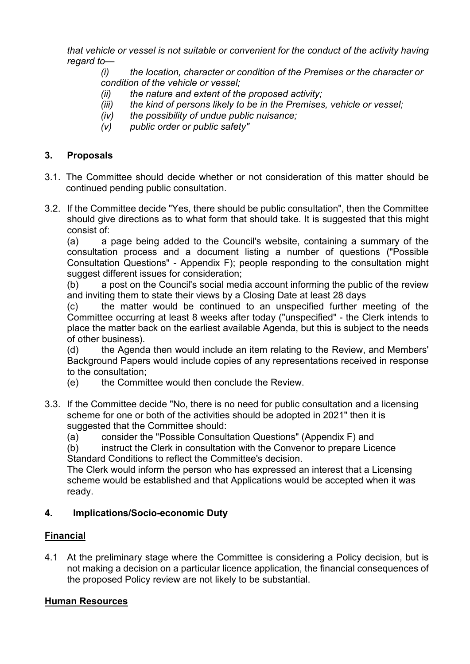*that vehicle or vessel is not suitable or convenient for the conduct of the activity having regard to—*

*(i) the location, character or condition of the Premises or the character or condition of the vehicle or vessel;*

- *(ii) the nature and extent of the proposed activity;*
- *(iii) the kind of persons likely to be in the Premises, vehicle or vessel;*
- *(iv) the possibility of undue public nuisance;*
- *(v) public order or public safety"*

## **3. Proposals**

- 3.1. The Committee should decide whether or not consideration of this matter should be continued pending public consultation.
- 3.2. If the Committee decide "Yes, there should be public consultation", then the Committee should give directions as to what form that should take. It is suggested that this might consist of:

(a) a page being added to the Council's website, containing a summary of the consultation process and a document listing a number of questions ("Possible Consultation Questions" - Appendix F); people responding to the consultation might suggest different issues for consideration;

(b) a post on the Council's social media account informing the public of the review and inviting them to state their views by a Closing Date at least 28 days

(c) the matter would be continued to an unspecified further meeting of the Committee occurring at least 8 weeks after today ("unspecified" - the Clerk intends to place the matter back on the earliest available Agenda, but this is subject to the needs of other business).

(d) the Agenda then would include an item relating to the Review, and Members' Background Papers would include copies of any representations received in response to the consultation;

- (e) the Committee would then conclude the Review.
- 3.3. If the Committee decide "No, there is no need for public consultation and a licensing scheme for one or both of the activities should be adopted in 2021" then it is suggested that the Committee should:

(a) consider the "Possible Consultation Questions" (Appendix F) and

(b) instruct the Clerk in consultation with the Convenor to prepare Licence Standard Conditions to reflect the Committee's decision.

The Clerk would inform the person who has expressed an interest that a Licensing scheme would be established and that Applications would be accepted when it was ready.

## **4. Implications/Socio-economic Duty**

## **Financial**

4.1 At the preliminary stage where the Committee is considering a Policy decision, but is not making a decision on a particular licence application, the financial consequences of the proposed Policy review are not likely to be substantial.

## **Human Resources**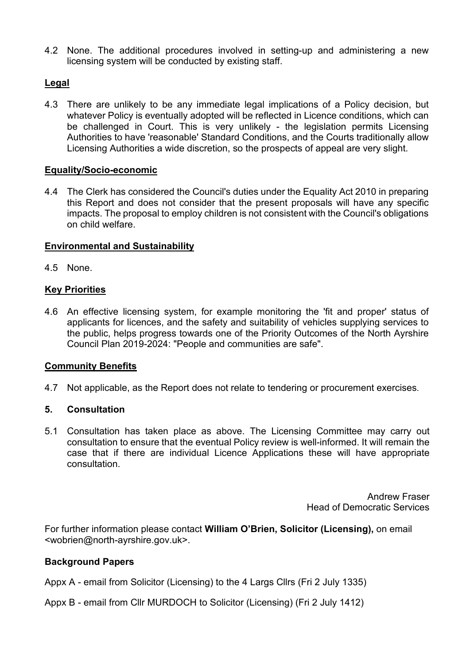4.2 None. The additional procedures involved in setting-up and administering a new licensing system will be conducted by existing staff.

## **Legal**

4.3 There are unlikely to be any immediate legal implications of a Policy decision, but whatever Policy is eventually adopted will be reflected in Licence conditions, which can be challenged in Court. This is very unlikely - the legislation permits Licensing Authorities to have 'reasonable' Standard Conditions, and the Courts traditionally allow Licensing Authorities a wide discretion, so the prospects of appeal are very slight.

## **Equality/Socio-economic**

4.4 The Clerk has considered the Council's duties under the Equality Act 2010 in preparing this Report and does not consider that the present proposals will have any specific impacts. The proposal to employ children is not consistent with the Council's obligations on child welfare.

## **Environmental and Sustainability**

4.5 None.

## **Key Priorities**

4.6 An effective licensing system, for example monitoring the 'fit and proper' status of applicants for licences, and the safety and suitability of vehicles supplying services to the public, helps progress towards one of the Priority Outcomes of the North Ayrshire Council Plan 2019-2024: "People and communities are safe".

## **Community Benefits**

4.7 Not applicable, as the Report does not relate to tendering or procurement exercises.

## **5. Consultation**

5.1 Consultation has taken place as above. The Licensing Committee may carry out consultation to ensure that the eventual Policy review is well-informed. It will remain the case that if there are individual Licence Applications these will have appropriate consultation.

> Andrew Fraser Head of Democratic Services

For further information please contact **William O'Brien, Solicitor (Licensing),** on email <wobrien@north-ayrshire.gov.uk>.

## **Background Papers**

Appx A - email from Solicitor (Licensing) to the 4 Largs Cllrs (Fri 2 July 1335)

Appx B - email from Cllr MURDOCH to Solicitor (Licensing) (Fri 2 July 1412)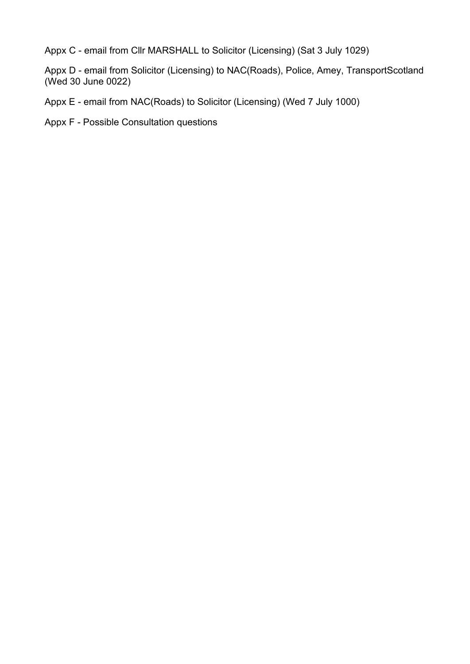Appx C - email from Cllr MARSHALL to Solicitor (Licensing) (Sat 3 July 1029)

Appx D - email from Solicitor (Licensing) to NAC(Roads), Police, Amey, TransportScotland (Wed 30 June 0022)

Appx E - email from NAC(Roads) to Solicitor (Licensing) (Wed 7 July 1000)

Appx F - Possible Consultation questions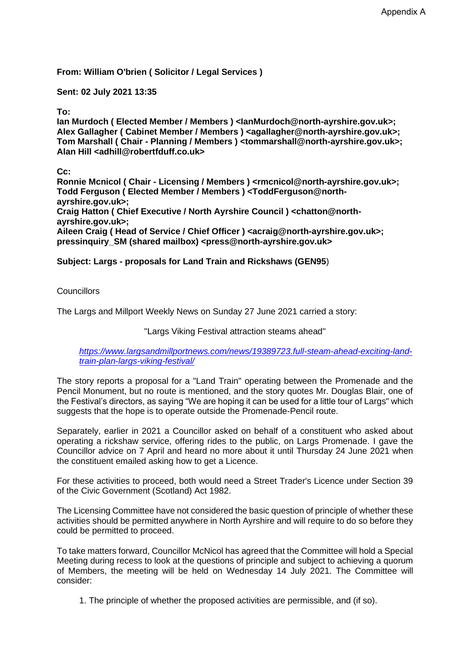**From: William O'brien ( Solicitor / Legal Services )** 

**Sent: 02 July 2021 13:35**

#### **To:**

**Ian Murdoch ( Elected Member / Members ) <IanMurdoch@north-ayrshire.gov.uk>; Alex Gallagher ( Cabinet Member / Members ) <agallagher@north-ayrshire.gov.uk>; Tom Marshall ( Chair - Planning / Members ) <tommarshall@north-ayrshire.gov.uk>; Alan Hill <adhill@robertfduff.co.uk>**

**Cc:**

**Ronnie Mcnicol ( Chair - Licensing / Members ) <rmcnicol@north-ayrshire.gov.uk>; Todd Ferguson ( Elected Member / Members ) <ToddFerguson@northayrshire.gov.uk>; Craig Hatton ( Chief Executive / North Ayrshire Council ) <chatton@northayrshire.gov.uk>; Aileen Craig ( Head of Service / Chief Officer ) <acraig@north-ayrshire.gov.uk>; pressinquiry\_SM (shared mailbox) <press@north-ayrshire.gov.uk>**

**Subject: Largs - proposals for Land Train and Rickshaws (GEN95**)

Councillors

The Largs and Millport Weekly News on Sunday 27 June 2021 carried a story:

"Largs Viking Festival attraction steams ahead"

*[https://www.largsandmillportnews.com/news/19389723.full-steam-ahead-exciting-land](https://www.largsandmillportnews.com/news/19389723.full-steam-ahead-exciting-land-train-plan-largs-viking-festival/)[train-plan-largs-viking-festival/](https://www.largsandmillportnews.com/news/19389723.full-steam-ahead-exciting-land-train-plan-largs-viking-festival/)*

The story reports a proposal for a "Land Train" operating between the Promenade and the Pencil Monument, but no route is mentioned, and the story quotes Mr. Douglas Blair, one of the Festival's directors, as saying "We are hoping it can be used for a little tour of Largs" which suggests that the hope is to operate outside the Promenade-Pencil route.

Separately, earlier in 2021 a Councillor asked on behalf of a constituent who asked about operating a rickshaw service, offering rides to the public, on Largs Promenade. I gave the Councillor advice on 7 April and heard no more about it until Thursday 24 June 2021 when the constituent emailed asking how to get a Licence.

For these activities to proceed, both would need a Street Trader's Licence under Section 39 of the Civic Government (Scotland) Act 1982.

The Licensing Committee have not considered the basic question of principle of whether these activities should be permitted anywhere in North Ayrshire and will require to do so before they could be permitted to proceed.

To take matters forward, Councillor McNicol has agreed that the Committee will hold a Special Meeting during recess to look at the questions of principle and subject to achieving a quorum of Members, the meeting will be held on Wednesday 14 July 2021. The Committee will consider:

1. The principle of whether the proposed activities are permissible, and (if so).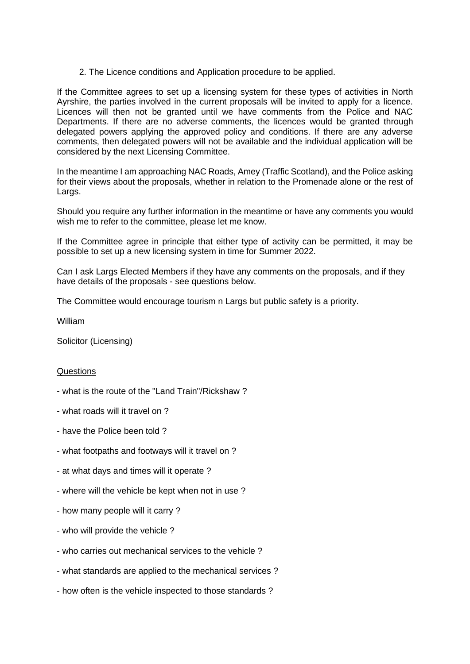2. The Licence conditions and Application procedure to be applied.

If the Committee agrees to set up a licensing system for these types of activities in North Ayrshire, the parties involved in the current proposals will be invited to apply for a licence. Licences will then not be granted until we have comments from the Police and NAC Departments. If there are no adverse comments, the licences would be granted through delegated powers applying the approved policy and conditions. If there are any adverse comments, then delegated powers will not be available and the individual application will be considered by the next Licensing Committee.

In the meantime I am approaching NAC Roads, Amey (Traffic Scotland), and the Police asking for their views about the proposals, whether in relation to the Promenade alone or the rest of Largs.

Should you require any further information in the meantime or have any comments you would wish me to refer to the committee, please let me know.

If the Committee agree in principle that either type of activity can be permitted, it may be possible to set up a new licensing system in time for Summer 2022.

Can I ask Largs Elected Members if they have any comments on the proposals, and if they have details of the proposals - see questions below.

The Committee would encourage tourism n Largs but public safety is a priority.

William

Solicitor (Licensing)

#### Questions

- what is the route of the "Land Train"/Rickshaw ?
- what roads will it travel on ?
- have the Police been told ?
- what footpaths and footways will it travel on ?
- at what days and times will it operate ?
- where will the vehicle be kept when not in use ?
- how many people will it carry ?
- who will provide the vehicle ?
- who carries out mechanical services to the vehicle ?
- what standards are applied to the mechanical services ?
- how often is the vehicle inspected to those standards ?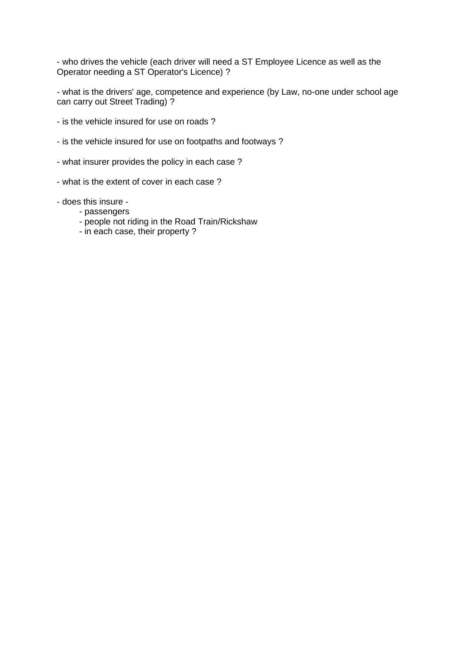- who drives the vehicle (each driver will need a ST Employee Licence as well as the Operator needing a ST Operator's Licence) ?

- what is the drivers' age, competence and experience (by Law, no-one under school age can carry out Street Trading) ?

- is the vehicle insured for use on roads ?
- is the vehicle insured for use on footpaths and footways ?
- what insurer provides the policy in each case ?
- what is the extent of cover in each case ?
- does this insure
	- passengers
	- people not riding in the Road Train/Rickshaw
	- in each case, their property ?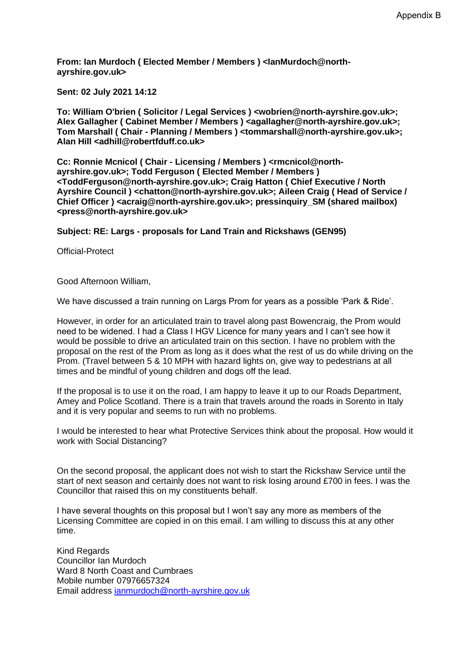**From: Ian Murdoch ( Elected Member / Members ) <IanMurdoch@northayrshire.gov.uk>** 

**Sent: 02 July 2021 14:12**

**To: William O'brien ( Solicitor / Legal Services ) <wobrien@north-ayrshire.gov.uk>;**  Alex Gallagher ( Cabinet Member / Members ) <aagallagher@north-ayrshire.gov.uk>; **Tom Marshall ( Chair - Planning / Members ) <tommarshall@north-ayrshire.gov.uk>; Alan Hill <adhill@robertfduff.co.uk>**

**Cc: Ronnie Mcnicol ( Chair - Licensing / Members ) <rmcnicol@northayrshire.gov.uk>; Todd Ferguson ( Elected Member / Members ) <ToddFerguson@north-ayrshire.gov.uk>; Craig Hatton ( Chief Executive / North Ayrshire Council ) <chatton@north-ayrshire.gov.uk>; Aileen Craig ( Head of Service / Chief Officer ) <acraig@north-ayrshire.gov.uk>; pressinquiry\_SM (shared mailbox) <press@north-ayrshire.gov.uk>**

**Subject: RE: Largs - proposals for Land Train and Rickshaws (GEN95)**

Official-Protect

Good Afternoon William,

We have discussed a train running on Largs Prom for years as a possible 'Park & Ride'.

However, in order for an articulated train to travel along past Bowencraig, the Prom would need to be widened. I had a Class I HGV Licence for many years and I can't see how it would be possible to drive an articulated train on this section. I have no problem with the proposal on the rest of the Prom as long as it does what the rest of us do while driving on the Prom. (Travel between 5 & 10 MPH with hazard lights on, give way to pedestrians at all times and be mindful of young children and dogs off the lead.

If the proposal is to use it on the road, I am happy to leave it up to our Roads Department, Amey and Police Scotland. There is a train that travels around the roads in Sorento in Italy and it is very popular and seems to run with no problems.

I would be interested to hear what Protective Services think about the proposal. How would it work with Social Distancing?

On the second proposal, the applicant does not wish to start the Rickshaw Service until the start of next season and certainly does not want to risk losing around £700 in fees. I was the Councillor that raised this on my constituents behalf.

I have several thoughts on this proposal but I won't say any more as members of the Licensing Committee are copied in on this email. I am willing to discuss this at any other time.

Kind Regards Councillor Ian Murdoch Ward 8 North Coast and Cumbraes Mobile number 07976657324 Email address [ianmurdoch@north-ayrshire.gov.uk](mailto:ianmurdoch@north-ayrshire.gov.uk)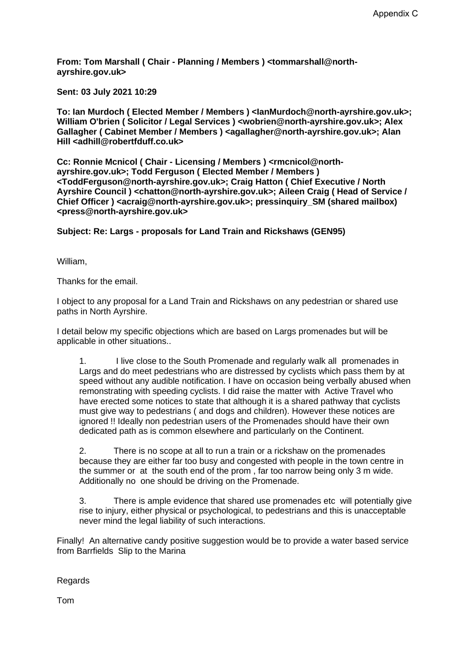**From: Tom Marshall ( Chair - Planning / Members ) <tommarshall@northayrshire.gov.uk>** 

**Sent: 03 July 2021 10:29**

**To: Ian Murdoch ( Elected Member / Members ) <IanMurdoch@north-ayrshire.gov.uk>; William O'brien ( Solicitor / Legal Services ) <wobrien@north-ayrshire.gov.uk>; Alex**  Gallagher ( Cabinet Member / Members ) <agallagher@north-ayrshire.gov.uk>; Alan **Hill <adhill@robertfduff.co.uk>**

**Cc: Ronnie Mcnicol ( Chair - Licensing / Members ) <rmcnicol@northayrshire.gov.uk>; Todd Ferguson ( Elected Member / Members ) <ToddFerguson@north-ayrshire.gov.uk>; Craig Hatton ( Chief Executive / North Ayrshire Council ) <chatton@north-ayrshire.gov.uk>; Aileen Craig ( Head of Service / Chief Officer ) <acraig@north-ayrshire.gov.uk>; pressinquiry\_SM (shared mailbox) <press@north-ayrshire.gov.uk>**

**Subject: Re: Largs - proposals for Land Train and Rickshaws (GEN95)**

William,

Thanks for the email.

I object to any proposal for a Land Train and Rickshaws on any pedestrian or shared use paths in North Ayrshire.

I detail below my specific objections which are based on Largs promenades but will be applicable in other situations..

1. I live close to the South Promenade and regularly walk all promenades in Largs and do meet pedestrians who are distressed by cyclists which pass them by at speed without any audible notification. I have on occasion being verbally abused when remonstrating with speeding cyclists. I did raise the matter with Active Travel who have erected some notices to state that although it is a shared pathway that cyclists must give way to pedestrians ( and dogs and children). However these notices are ignored !! Ideally non pedestrian users of the Promenades should have their own dedicated path as is common elsewhere and particularly on the Continent.

2. There is no scope at all to run a train or a rickshaw on the promenades because they are either far too busy and congested with people in the town centre in the summer or at the south end of the prom , far too narrow being only 3 m wide. Additionally no one should be driving on the Promenade.

3. There is ample evidence that shared use promenades etc will potentially give rise to injury, either physical or psychological, to pedestrians and this is unacceptable never mind the legal liability of such interactions.

Finally! An alternative candy positive suggestion would be to provide a water based service from Barrfields Slip to the Marina

Regards

Tom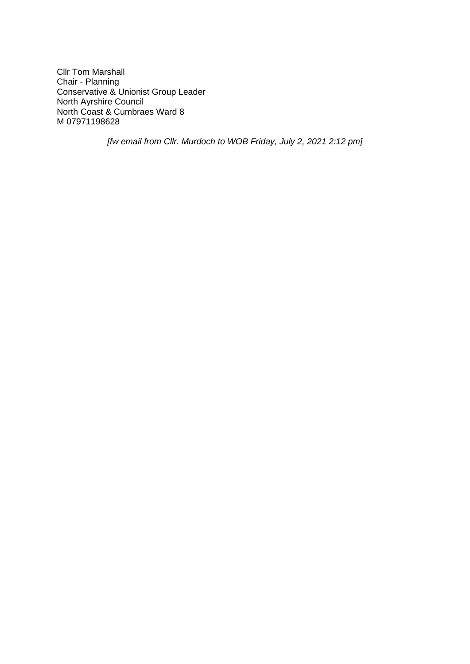Cllr Tom Marshall Chair - Planning Conservative & Unionist Group Leader North Ayrshire Council North Coast & Cumbraes Ward 8 M 07971198628

*[fw email from Cllr. Murdoch to WOB Friday, July 2, 2021 2:12 pm]*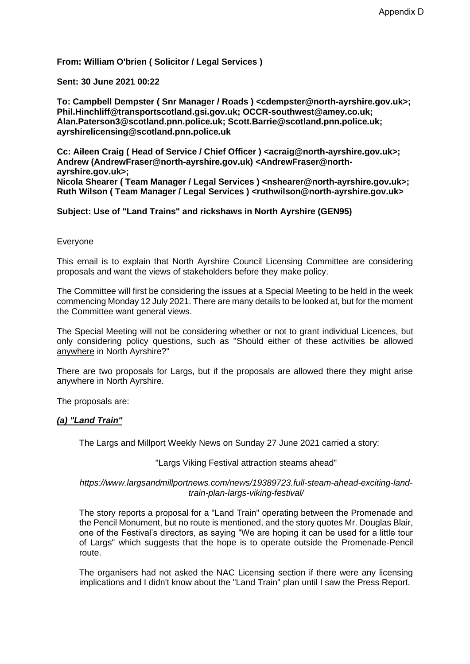**From: William O'brien ( Solicitor / Legal Services )** 

**Sent: 30 June 2021 00:22**

**To: Campbell Dempster ( Snr Manager / Roads ) <cdempster@north-ayrshire.gov.uk>; Phil.Hinchliff@transportscotland.gsi.gov.uk; OCCR-southwest@amey.co.uk; Alan.Paterson3@scotland.pnn.police.uk; Scott.Barrie@scotland.pnn.police.uk; ayrshirelicensing@scotland.pnn.police.uk**

**Cc: Aileen Craig ( Head of Service / Chief Officer ) <acraig@north-ayrshire.gov.uk>; Andrew (AndrewFraser@north-ayrshire.gov.uk) <AndrewFraser@northayrshire.gov.uk>; Nicola Shearer ( Team Manager / Legal Services ) <nshearer@north-ayrshire.gov.uk>; Ruth Wilson ( Team Manager / Legal Services ) <ruthwilson@north-ayrshire.gov.uk>**

#### **Subject: Use of "Land Trains" and rickshaws in North Ayrshire (GEN95)**

#### Everyone

This email is to explain that North Ayrshire Council Licensing Committee are considering proposals and want the views of stakeholders before they make policy.

The Committee will first be considering the issues at a Special Meeting to be held in the week commencing Monday 12 July 2021. There are many details to be looked at, but for the moment the Committee want general views.

The Special Meeting will not be considering whether or not to grant individual Licences, but only considering policy questions, such as "Should either of these activities be allowed anywhere in North Ayrshire?"

There are two proposals for Largs, but if the proposals are allowed there they might arise anywhere in North Ayrshire.

The proposals are:

#### *(a) "Land Train"*

The Largs and Millport Weekly News on Sunday 27 June 2021 carried a story:

#### "Largs Viking Festival attraction steams ahead"

#### *https://www.largsandmillportnews.com/news/19389723.full-steam-ahead-exciting-landtrain-plan-largs-viking-festival/*

The story reports a proposal for a "Land Train" operating between the Promenade and the Pencil Monument, but no route is mentioned, and the story quotes Mr. Douglas Blair, one of the Festival's directors, as saying "We are hoping it can be used for a little tour of Largs" which suggests that the hope is to operate outside the Promenade-Pencil route.

The organisers had not asked the NAC Licensing section if there were any licensing implications and I didn't know about the "Land Train" plan until I saw the Press Report.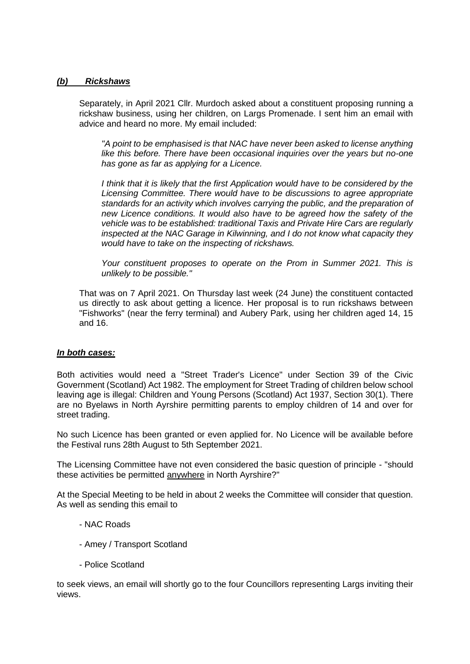#### *(b) Rickshaws*

Separately, in April 2021 Cllr. Murdoch asked about a constituent proposing running a rickshaw business, using her children, on Largs Promenade. I sent him an email with advice and heard no more. My email included:

*"A point to be emphasised is that NAC have never been asked to license anything like this before. There have been occasional inquiries over the years but no-one has gone as far as applying for a Licence.*

*I think that it is likely that the first Application would have to be considered by the Licensing Committee. There would have to be discussions to agree appropriate standards for an activity which involves carrying the public, and the preparation of new Licence conditions. It would also have to be agreed how the safety of the vehicle was to be established: traditional Taxis and Private Hire Cars are regularly inspected at the NAC Garage in Kilwinning, and I do not know what capacity they would have to take on the inspecting of rickshaws.*

*Your constituent proposes to operate on the Prom in Summer 2021. This is unlikely to be possible."*

That was on 7 April 2021. On Thursday last week (24 June) the constituent contacted us directly to ask about getting a licence. Her proposal is to run rickshaws between "Fishworks" (near the ferry terminal) and Aubery Park, using her children aged 14, 15 and 16.

#### *In both cases:*

Both activities would need a "Street Trader's Licence" under Section 39 of the Civic Government (Scotland) Act 1982. The employment for Street Trading of children below school leaving age is illegal: Children and Young Persons (Scotland) Act 1937, Section 30(1). There are no Byelaws in North Ayrshire permitting parents to employ children of 14 and over for street trading.

No such Licence has been granted or even applied for. No Licence will be available before the Festival runs 28th August to 5th September 2021.

The Licensing Committee have not even considered the basic question of principle - "should these activities be permitted anywhere in North Ayrshire?"

At the Special Meeting to be held in about 2 weeks the Committee will consider that question. As well as sending this email to

- NAC Roads
- Amey / Transport Scotland
- Police Scotland

to seek views, an email will shortly go to the four Councillors representing Largs inviting their views.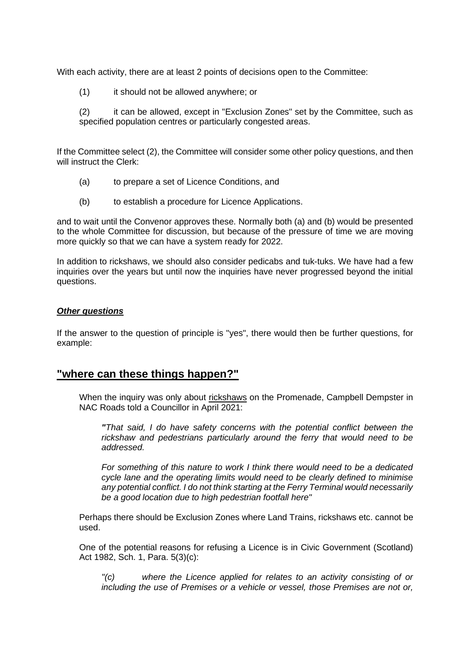With each activity, there are at least 2 points of decisions open to the Committee:

(1) it should not be allowed anywhere; or

(2) it can be allowed, except in "Exclusion Zones" set by the Committee, such as specified population centres or particularly congested areas.

If the Committee select (2), the Committee will consider some other policy questions, and then will instruct the Clerk:

- (a) to prepare a set of Licence Conditions, and
- (b) to establish a procedure for Licence Applications.

and to wait until the Convenor approves these. Normally both (a) and (b) would be presented to the whole Committee for discussion, but because of the pressure of time we are moving more quickly so that we can have a system ready for 2022.

In addition to rickshaws, we should also consider pedicabs and tuk-tuks. We have had a few inquiries over the years but until now the inquiries have never progressed beyond the initial questions.

#### *Other questions*

If the answer to the question of principle is "yes", there would then be further questions, for example:

## **"where can these things happen?"**

When the inquiry was only about rickshaws on the Promenade, Campbell Dempster in NAC Roads told a Councillor in April 2021:

*"That said, I do have safety concerns with the potential conflict between the*  rickshaw and pedestrians particularly around the ferry that would need to be *addressed.* 

*For something of this nature to work I think there would need to be a dedicated cycle lane and the operating limits would need to be clearly defined to minimise any potential conflict. I do not think starting at the Ferry Terminal would necessarily be a good location due to high pedestrian footfall here"*

Perhaps there should be Exclusion Zones where Land Trains, rickshaws etc. cannot be used.

One of the potential reasons for refusing a Licence is in Civic Government (Scotland) Act 1982, Sch. 1, Para. 5(3)(c):

*"(c) where the Licence applied for relates to an activity consisting of or including the use of Premises or a vehicle or vessel, those Premises are not or,*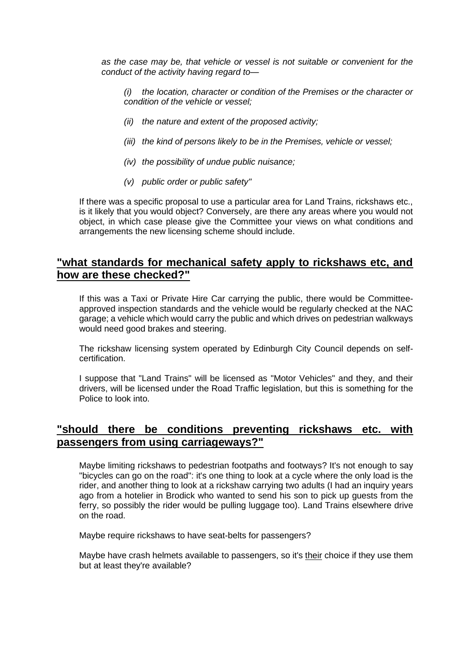*as the case may be, that vehicle or vessel is not suitable or convenient for the conduct of the activity having regard to—*

*(i) the location, character or condition of the Premises or the character or condition of the vehicle or vessel;*

- *(ii) the nature and extent of the proposed activity;*
- *(iii) the kind of persons likely to be in the Premises, vehicle or vessel;*
- *(iv) the possibility of undue public nuisance;*
- *(v) public order or public safety"*

If there was a specific proposal to use a particular area for Land Trains, rickshaws etc., is it likely that you would object? Conversely, are there any areas where you would not object, in which case please give the Committee your views on what conditions and arrangements the new licensing scheme should include.

## **"what standards for mechanical safety apply to rickshaws etc, and how are these checked?"**

If this was a Taxi or Private Hire Car carrying the public, there would be Committeeapproved inspection standards and the vehicle would be regularly checked at the NAC garage; a vehicle which would carry the public and which drives on pedestrian walkways would need good brakes and steering.

The rickshaw licensing system operated by Edinburgh City Council depends on selfcertification.

I suppose that "Land Trains" will be licensed as "Motor Vehicles" and they, and their drivers, will be licensed under the Road Traffic legislation, but this is something for the Police to look into.

## **"should there be conditions preventing rickshaws etc. with passengers from using carriageways?"**

Maybe limiting rickshaws to pedestrian footpaths and footways? It's not enough to say "bicycles can go on the road": it's one thing to look at a cycle where the only load is the rider, and another thing to look at a rickshaw carrying two adults (I had an inquiry years ago from a hotelier in Brodick who wanted to send his son to pick up guests from the ferry, so possibly the rider would be pulling luggage too). Land Trains elsewhere drive on the road.

Maybe require rickshaws to have seat-belts for passengers?

Maybe have crash helmets available to passengers, so it's their choice if they use them but at least they're available?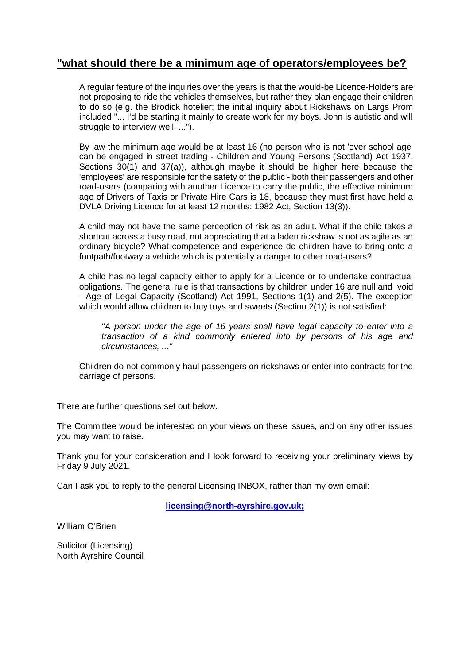## **"what should there be a minimum age of operators/employees be?**

A regular feature of the inquiries over the years is that the would-be Licence-Holders are not proposing to ride the vehicles themselves, but rather they plan engage their children to do so (e.g. the Brodick hotelier; the initial inquiry about Rickshaws on Largs Prom included "... I'd be starting it mainly to create work for my boys. John is autistic and will struggle to interview well. ...").

By law the minimum age would be at least 16 (no person who is not 'over school age' can be engaged in street trading - Children and Young Persons (Scotland) Act 1937, Sections 30(1) and 37(a)), although maybe it should be higher here because the 'employees' are responsible for the safety of the public - both their passengers and other road-users (comparing with another Licence to carry the public, the effective minimum age of Drivers of Taxis or Private Hire Cars is 18, because they must first have held a DVLA Driving Licence for at least 12 months: 1982 Act, Section 13(3)).

A child may not have the same perception of risk as an adult. What if the child takes a shortcut across a busy road, not appreciating that a laden rickshaw is not as agile as an ordinary bicycle? What competence and experience do children have to bring onto a footpath/footway a vehicle which is potentially a danger to other road-users?

A child has no legal capacity either to apply for a Licence or to undertake contractual obligations. The general rule is that transactions by children under 16 are null and void - Age of Legal Capacity (Scotland) Act 1991, Sections 1(1) and 2(5). The exception which would allow children to buy toys and sweets (Section 2(1)) is not satisfied:

*"A person under the age of 16 years shall have legal capacity to enter into a transaction of a kind commonly entered into by persons of his age and circumstances, ..."*

Children do not commonly haul passengers on rickshaws or enter into contracts for the carriage of persons.

There are further questions set out below.

The Committee would be interested on your views on these issues, and on any other issues you may want to raise.

Thank you for your consideration and I look forward to receiving your preliminary views by Friday 9 July 2021.

Can I ask you to reply to the general Licensing INBOX, rather than my own email:

**[licensing@north-ayrshire.gov.uk;](mailto:licensing@north-ayrshire.gov.uk)**

William O'Brien

Solicitor (Licensing) North Ayrshire Council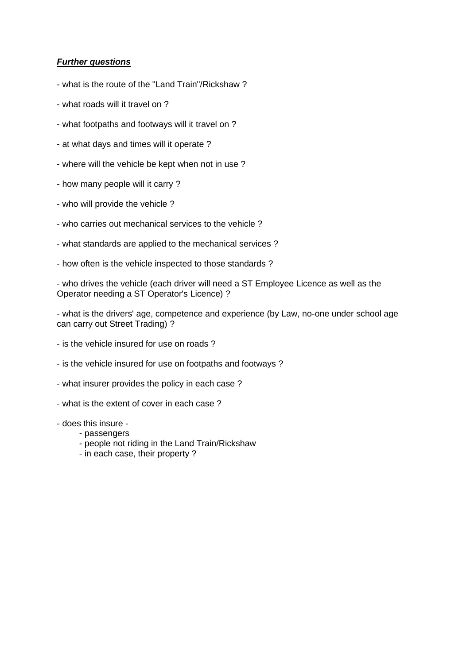### *Further questions*

- what is the route of the "Land Train"/Rickshaw ?
- what roads will it travel on ?
- what footpaths and footways will it travel on ?
- at what days and times will it operate ?
- where will the vehicle be kept when not in use ?
- how many people will it carry ?
- who will provide the vehicle ?
- who carries out mechanical services to the vehicle ?
- what standards are applied to the mechanical services ?
- how often is the vehicle inspected to those standards ?

- who drives the vehicle (each driver will need a ST Employee Licence as well as the Operator needing a ST Operator's Licence) ?

- what is the drivers' age, competence and experience (by Law, no-one under school age can carry out Street Trading) ?

- is the vehicle insured for use on roads ?
- is the vehicle insured for use on footpaths and footways ?
- what insurer provides the policy in each case ?
- what is the extent of cover in each case ?
- does this insure
	- passengers
	- people not riding in the Land Train/Rickshaw
	- in each case, their property ?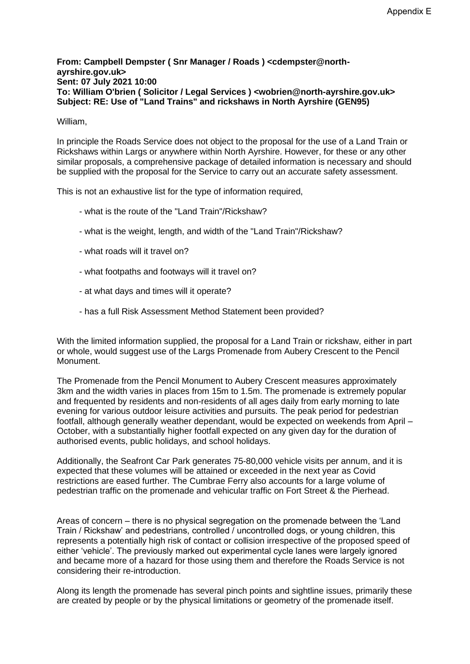#### **From: Campbell Dempster ( Snr Manager / Roads ) <cdempster@northayrshire.gov.uk> Sent: 07 July 2021 10:00 To: William O'brien ( Solicitor / Legal Services ) <wobrien@north-ayrshire.gov.uk> Subject: RE: Use of "Land Trains" and rickshaws in North Ayrshire (GEN95)**

#### William,

In principle the Roads Service does not object to the proposal for the use of a Land Train or Rickshaws within Largs or anywhere within North Ayrshire. However, for these or any other similar proposals, a comprehensive package of detailed information is necessary and should be supplied with the proposal for the Service to carry out an accurate safety assessment.

This is not an exhaustive list for the type of information required,

- what is the route of the "Land Train"/Rickshaw?
- what is the weight, length, and width of the "Land Train"/Rickshaw?
- what roads will it travel on?
- what footpaths and footways will it travel on?
- at what days and times will it operate?
- has a full Risk Assessment Method Statement been provided?

With the limited information supplied, the proposal for a Land Train or rickshaw, either in part or whole, would suggest use of the Largs Promenade from Aubery Crescent to the Pencil Monument.

The Promenade from the Pencil Monument to Aubery Crescent measures approximately 3km and the width varies in places from 15m to 1.5m. The promenade is extremely popular and frequented by residents and non-residents of all ages daily from early morning to late evening for various outdoor leisure activities and pursuits. The peak period for pedestrian footfall, although generally weather dependant, would be expected on weekends from April – October, with a substantially higher footfall expected on any given day for the duration of authorised events, public holidays, and school holidays.

Additionally, the Seafront Car Park generates 75-80,000 vehicle visits per annum, and it is expected that these volumes will be attained or exceeded in the next year as Covid restrictions are eased further. The Cumbrae Ferry also accounts for a large volume of pedestrian traffic on the promenade and vehicular traffic on Fort Street & the Pierhead.

Areas of concern – there is no physical segregation on the promenade between the 'Land Train / Rickshaw' and pedestrians, controlled / uncontrolled dogs, or young children, this represents a potentially high risk of contact or collision irrespective of the proposed speed of either 'vehicle'. The previously marked out experimental cycle lanes were largely ignored and became more of a hazard for those using them and therefore the Roads Service is not considering their re-introduction.

Along its length the promenade has several pinch points and sightline issues, primarily these are created by people or by the physical limitations or geometry of the promenade itself.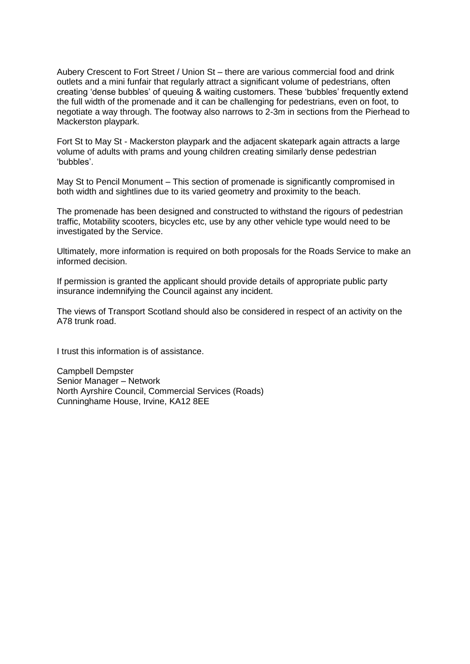Aubery Crescent to Fort Street / Union St – there are various commercial food and drink outlets and a mini funfair that regularly attract a significant volume of pedestrians, often creating 'dense bubbles' of queuing & waiting customers. These 'bubbles' frequently extend the full width of the promenade and it can be challenging for pedestrians, even on foot, to negotiate a way through. The footway also narrows to 2-3m in sections from the Pierhead to Mackerston playpark.

Fort St to May St - Mackerston playpark and the adjacent skatepark again attracts a large volume of adults with prams and young children creating similarly dense pedestrian 'bubbles'.

May St to Pencil Monument – This section of promenade is significantly compromised in both width and sightlines due to its varied geometry and proximity to the beach.

The promenade has been designed and constructed to withstand the rigours of pedestrian traffic, Motability scooters, bicycles etc, use by any other vehicle type would need to be investigated by the Service.

Ultimately, more information is required on both proposals for the Roads Service to make an informed decision.

If permission is granted the applicant should provide details of appropriate public party insurance indemnifying the Council against any incident.

The views of Transport Scotland should also be considered in respect of an activity on the A78 trunk road.

I trust this information is of assistance.

Campbell Dempster Senior Manager – Network North Ayrshire Council, Commercial Services (Roads) Cunninghame House, Irvine, KA12 8EE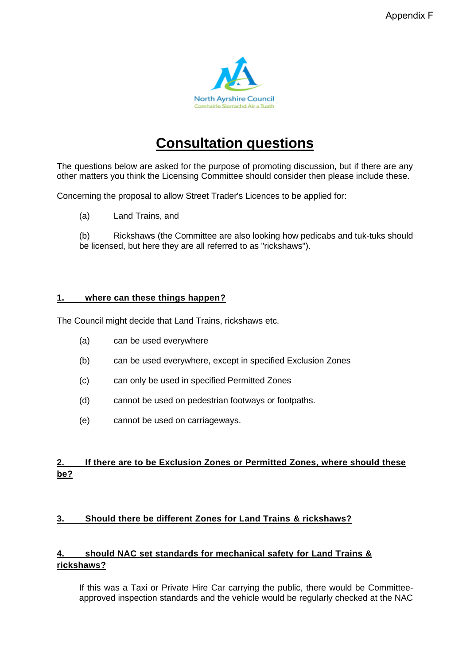

# **Consultation questions**

The questions below are asked for the purpose of promoting discussion, but if there are any other matters you think the Licensing Committee should consider then please include these.

Concerning the proposal to allow Street Trader's Licences to be applied for:

(a) Land Trains, and

(b) Rickshaws (the Committee are also looking how pedicabs and tuk-tuks should be licensed, but here they are all referred to as "rickshaws").

#### **1. where can these things happen?**

The Council might decide that Land Trains, rickshaws etc.

- (a) can be used everywhere
- (b) can be used everywhere, except in specified Exclusion Zones
- (c) can only be used in specified Permitted Zones
- (d) cannot be used on pedestrian footways or footpaths.
- (e) cannot be used on carriageways.

## **2. If there are to be Exclusion Zones or Permitted Zones, where should these be?**

## **3. Should there be different Zones for Land Trains & rickshaws?**

## **4. should NAC set standards for mechanical safety for Land Trains & rickshaws?**

If this was a Taxi or Private Hire Car carrying the public, there would be Committeeapproved inspection standards and the vehicle would be regularly checked at the NAC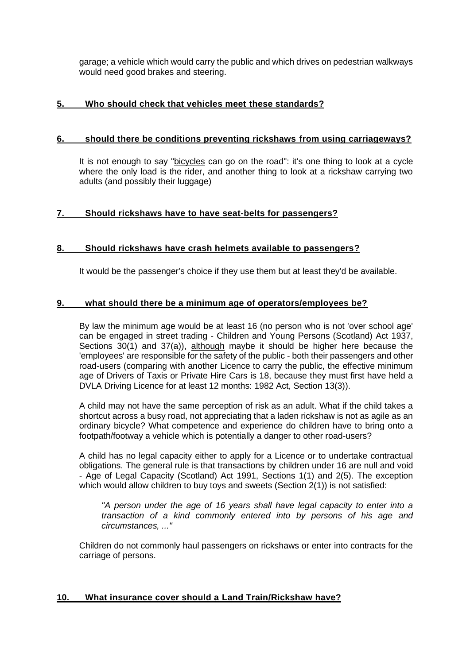garage; a vehicle which would carry the public and which drives on pedestrian walkways would need good brakes and steering.

## **5. Who should check that vehicles meet these standards?**

#### **6. should there be conditions preventing rickshaws from using carriageways?**

It is not enough to say "bicycles can go on the road": it's one thing to look at a cycle where the only load is the rider, and another thing to look at a rickshaw carrying two adults (and possibly their luggage)

#### **7. Should rickshaws have to have seat-belts for passengers?**

#### **8. Should rickshaws have crash helmets available to passengers?**

It would be the passenger's choice if they use them but at least they'd be available.

#### **9. what should there be a minimum age of operators/employees be?**

By law the minimum age would be at least 16 (no person who is not 'over school age' can be engaged in street trading - Children and Young Persons (Scotland) Act 1937, Sections 30(1) and 37(a)), although maybe it should be higher here because the 'employees' are responsible for the safety of the public - both their passengers and other road-users (comparing with another Licence to carry the public, the effective minimum age of Drivers of Taxis or Private Hire Cars is 18, because they must first have held a DVLA Driving Licence for at least 12 months: 1982 Act, Section 13(3)).

A child may not have the same perception of risk as an adult. What if the child takes a shortcut across a busy road, not appreciating that a laden rickshaw is not as agile as an ordinary bicycle? What competence and experience do children have to bring onto a footpath/footway a vehicle which is potentially a danger to other road-users?

A child has no legal capacity either to apply for a Licence or to undertake contractual obligations. The general rule is that transactions by children under 16 are null and void - Age of Legal Capacity (Scotland) Act 1991, Sections 1(1) and 2(5). The exception which would allow children to buy toys and sweets (Section 2(1)) is not satisfied:

*"A person under the age of 16 years shall have legal capacity to enter into a transaction of a kind commonly entered into by persons of his age and circumstances, ..."*

Children do not commonly haul passengers on rickshaws or enter into contracts for the carriage of persons.

#### **10. What insurance cover should a Land Train/Rickshaw have?**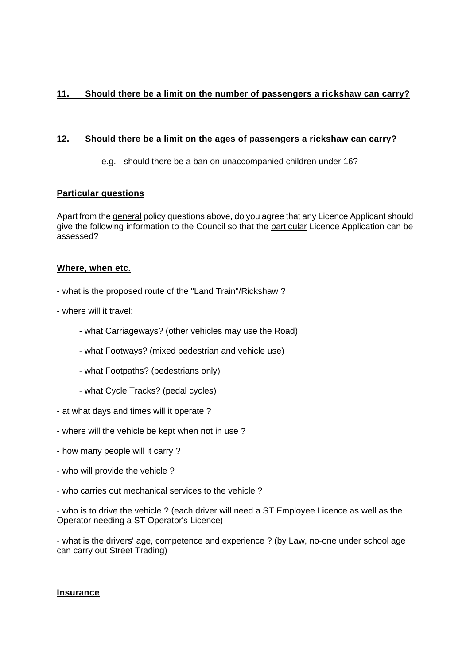## **11. Should there be a limit on the number of passengers a rickshaw can carry?**

#### **12. Should there be a limit on the ages of passengers a rickshaw can carry?**

e.g. - should there be a ban on unaccompanied children under 16?

#### **Particular questions**

Apart from the general policy questions above, do you agree that any Licence Applicant should give the following information to the Council so that the particular Licence Application can be assessed?

#### **Where, when etc.**

- what is the proposed route of the "Land Train"/Rickshaw ?
- where will it travel:
	- what Carriageways? (other vehicles may use the Road)
	- what Footways? (mixed pedestrian and vehicle use)
	- what Footpaths? (pedestrians only)
	- what Cycle Tracks? (pedal cycles)
- at what days and times will it operate ?
- where will the vehicle be kept when not in use ?
- how many people will it carry ?
- who will provide the vehicle ?
- who carries out mechanical services to the vehicle ?

- who is to drive the vehicle ? (each driver will need a ST Employee Licence as well as the Operator needing a ST Operator's Licence)

- what is the drivers' age, competence and experience ? (by Law, no-one under school age can carry out Street Trading)

#### **Insurance**